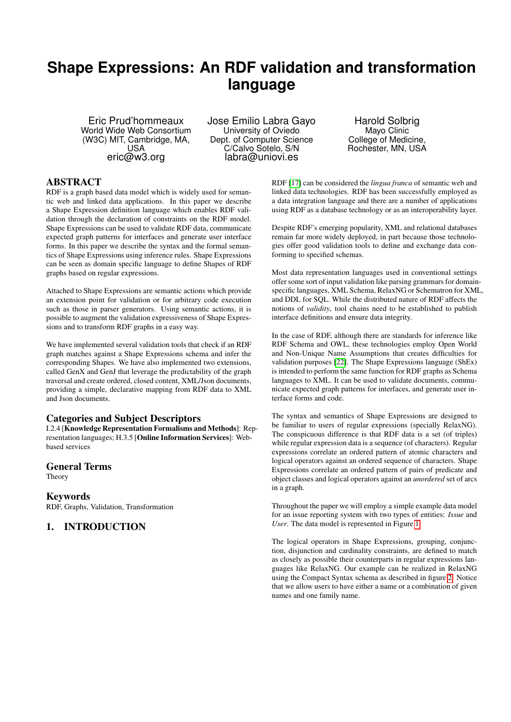# **Shape Expressions: An RDF validation and transformation language**

Eric Prud'hommeaux World Wide Web Consortium (W3C) MIT, Cambridge, MA, USA eric@w3.org

Jose Emilio Labra Gayo University of Oviedo Dept. of Computer Science C/Calvo Sotelo, S/N labra@uniovi.es

Harold Solbrig Mayo Clinic College of Medicine, Rochester, MN, USA

# ABSTRACT

RDF is a graph based data model which is widely used for semantic web and linked data applications. In this paper we describe a Shape Expression definition language which enables RDF validation through the declaration of constraints on the RDF model. Shape Expressions can be used to validate RDF data, communicate expected graph patterns for interfaces and generate user interface forms. In this paper we describe the syntax and the formal semantics of Shape Expressions using inference rules. Shape Expressions can be seen as domain specific language to define Shapes of RDF graphs based on regular expressions.

Attached to Shape Expressions are semantic actions which provide an extension point for validation or for arbitrary code execution such as those in parser generators. Using semantic actions, it is possible to augment the validation expressiveness of Shape Expressions and to transform RDF graphs in a easy way.

We have implemented several validation tools that check if an RDF graph matches against a Shape Expressions schema and infer the corresponding Shapes. We have also implemented two extensions, called GenX and GenJ that leverage the predictability of the graph traversal and create ordered, closed content, XML/Json documents, providing a simple, declarative mapping from RDF data to XML and Json documents.

# Categories and Subject Descriptors

I.2.4 [Knowledge Representation Formalisms and Methods]: Representation languages; H.3.5 [Online Information Services]: Webbased services

#### General Terms

Theory

# Keywords

RDF, Graphs, Validation, Transformation

# <span id="page-0-0"></span>1. INTRODUCTION

RDF [\[17\]](#page-8-0) can be considered the *lingua franca* of semantic web and linked data technologies. RDF has been successfully employed as a data integration language and there are a number of applications using RDF as a database technology or as an interoperability layer.

Despite RDF's emerging popularity, XML and relational databases remain far more widely deployed, in part because those technologies offer good validation tools to define and exchange data conforming to specified schemas.

Most data representation languages used in conventional settings offer some sort of input validation like parsing grammars for domainspecific languages, XML Schema, RelaxNG or Schematron for XML, and DDL for SQL. While the distributed nature of RDF affects the notions of *validity*, tool chains need to be established to publish interface definitions and ensure data integrity.

In the case of RDF, although there are standards for inference like RDF Schema and OWL, these technologies employ Open World and Non-Unique Name Assumptions that creates difficulties for validation purposes [\[22\]](#page-8-1). The Shape Expressions language (ShEx) is intended to perform the same function for RDF graphs as Schema languages to XML. It can be used to validate documents, communicate expected graph patterns for interfaces, and generate user interface forms and code.

The syntax and semantics of Shape Expressions are designed to be familiar to users of regular expressions (specially RelaxNG). The conspicuous difference is that RDF data is a set (of triples) while regular expression data is a sequence (of characters). Regular expressions correlate an ordered pattern of atomic characters and logical operators against an ordered sequence of characters. Shape Expressions correlate an ordered pattern of pairs of predicate and object classes and logical operators against an *unordered* set of arcs in a graph.

Throughout the paper we will employ a simple example data model for an issue reporting system with two types of entities: *Issue* and *User*. The data model is represented in Figure [1.](#page-0-0)

The logical operators in Shape Expressions, grouping, conjunction, disjunction and cardinality constraints, are defined to match as closely as possible their counterparts in regular expressions languages like RelaxNG. Our example can be realized in RelaxNG using the Compact Syntax schema as described in figure [2.](#page-1-0) Notice that we allow users to have either a name or a combination of given names and one family name.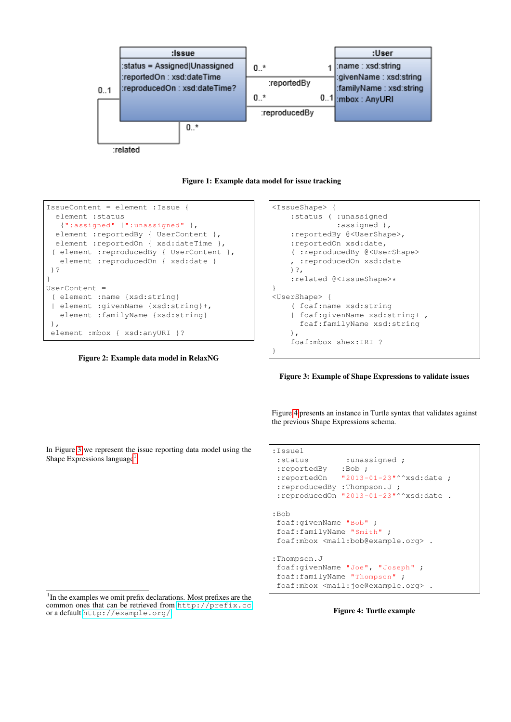

Figure 1: Example data model for issue tracking

```
IssueContent = element :Issue {
  element :status
   {":assigned" |":unassigned" },
  element : reportedBy { UserContent },
 element : reportedOn { xsd:dateTime },
 ( element :reproducedBy { UserContent },
  element : reproducedOn { xsd:date }
)?
}
UserContent =
 ( element :name {xsd:string}
 | element :givenName {xsd:string}+,
  element :familyName {xsd:string}
),
element : mbox { xsd: anyURI }?
```
<span id="page-1-0"></span>Figure 2: Example data model in RelaxNG

```
<IssueShape> {
   :status ( :unassigned
              :assigned ),
    :reportedBy @<UserShape>,
   :reportedOn xsd:date,
    ( :reproducedBy @<UserShape>
    , :reproducedOn xsd:date
   )?,
    :related @<IssueShape>*
}
<UserShape> {
    ( foaf:name xsd:string
    | foaf:givenName xsd:string+ ,
     foaf:familyName xsd:string
   ),
    foaf:mbox shex:IRI ?
}
```
<span id="page-1-1"></span>Figure 3: Example of Shape Expressions to validate issues

Figure [4](#page-1-3) presents an instance in Turtle syntax that validates against the previous Shape Expressions schema.

In Figure [3](#page-1-1) we represent the issue reporting data model using the Shape Expressions language<sup>[1](#page-1-2)</sup>

```
:Issue1
:status :unassigned ;
:reportedBy :Bob ;
:reportedOn "2013-01-23"^^xsd:date ;
:reproducedBy :Thompson.J ;
:reproducedOn "2013-01-23"^^xsd:date .
:Bob
foaf:givenName "Bob" ;
foaf:familyName "Smith" ;
foaf:mbox <mail:bob@example.org> .
:Thompson.J
foaf:givenName "Joe", "Joseph" ;
foaf:familyName "Thompson" ;
foaf:mbox <mail:joe@example.org> .
```
<span id="page-1-3"></span>

<span id="page-1-2"></span><sup>&</sup>lt;sup>1</sup>In the examples we omit prefix declarations. Most prefixes are the common ones that can be retrieved from <http://prefix.cc> or a default <http://example.org/>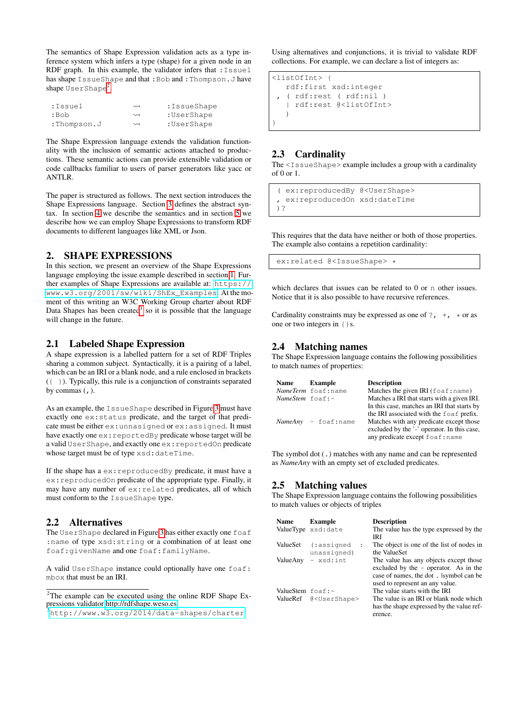The semantics of Shape Expression validation acts as a type inference system which infers a type (shape) for a given node in an RDF graph. In this example, the validator infers that : Issue1 has shape IssueShape and that :Bob and :Thompson.J have shape UserShape<sup>[2](#page-2-0)</sup>.

| :Issuel     | $\rightsquigarrow$ | :IssueShape |
|-------------|--------------------|-------------|
| :Bob        | $\rightsquigarrow$ | :UserShape  |
| :Thompson.J | $\rightsquigarrow$ | :UserShape  |

The Shape Expression language extends the validation functionality with the inclusion of semantic actions attached to productions. These semantic actions can provide extensible validation or code callbacks familiar to users of parser generators like yacc or ANTLR.

The paper is structured as follows. The next section introduces the Shape Expressions language. Section [3](#page-3-0) defines the abstract syntax. In section [4](#page-3-1) we describe the semantics and in section [5](#page-4-0) we describe how we can employ Shape Expressions to transform RDF documents to different languages like XML or Json.

# 2. SHAPE EXPRESSIONS

In this section, we present an overview of the Shape Expressions language employing the issue example described in section [1.](#page-0-0) Further examples of Shape Expressions are available at: [https://](https://www.w3.org/2001/sw/wiki/ShEx_Examples) [www.w3.org/2001/sw/wiki/ShEx\\_Examples](https://www.w3.org/2001/sw/wiki/ShEx_Examples). At the moment of this writing an W3C Working Group charter about RDF Data Shapes has been created<sup>[3](#page-2-1)</sup> so it is possible that the language will change in the future.

# 2.1 Labeled Shape Expression

A shape expression is a labelled pattern for a set of RDF Triples sharing a common subject. Syntactically, it is a pairing of a label, which can be an IRI or a blank node, and a rule enclosed in brackets ({ }). Typically, this rule is a conjunction of constraints separated by commas  $($ ,  $).$ 

As an example, the IssueShape described in Figure [3](#page-1-1) must have exactly one ex:status predicate, and the target of that predicate must be either ex:unnasigned or ex:assigned. It must have exactly one ex:reportedBy predicate whose target will be a valid UserShape, and exactly one ex:reportedOn predicate whose target must be of type xsd:dateTime.

If the shape has a ex:reproducedBy predicate, it must have a ex:reproducedOn predicate of the appropriate type. Finally, it may have any number of ex:related predicates, all of which must conform to the IssueShape type.

# 2.2 Alternatives

The UserShape declared in Figure [3](#page-1-1) has either exactly one foaf :name of type xsd:string or a combination of at least one foaf:givenName and one foaf:familyName.

A valid UserShape instance could optionally have one foaf: mbox that must be an IRI.

Using alternatives and conjunctions, it is trivial to validate RDF collections. For example, we can declare a list of integers as:

```
<listOfInt> {
   rdf:first xsd:integer
   , ( rdf:rest ( rdf:nil )
     | rdf:rest @<listOfInt>
   )
}
```
# 2.3 Cardinality

The <IssueShape> example includes a group with a cardinality of 0 or 1.

```
( ex:reproducedBy @<UserShape>
  ex:reproducedOn xsd:dateTime
)?
```
This requires that the data have neither or both of those properties. The example also contains a repetition cardinality:

ex:related @<IssueShape> \*

which declares that issues can be related to 0 or n other issues. Notice that it is also possible to have recursive references.

Cardinality constraints may be expressed as one of ?,  $\pm$ ,  $\pm$  or as one or two integers in {}s.

#### 2.4 Matching names

The Shape Expression language contains the following possibilities to match names of properties:

| <b>Name</b>                    | <b>Example</b>         | <b>Description</b>                              |
|--------------------------------|------------------------|-------------------------------------------------|
|                                | NameTerm foaf:name     | Matches the given IRI $(f \circ af \cdot name)$ |
| <i>NameStem</i> $f \circ f$ :~ |                        | Matches a IRI that starts with a given IRI.     |
|                                |                        | In this case, matches an IRI that starts by     |
|                                |                        | the IRI associated with the foaf prefix.        |
|                                | $NameAny - foaf; name$ | Matches with any predicate except those         |
|                                |                        | excluded by the '-' operator. In this case,     |
|                                |                        | any predicate except foaf: name                 |

The symbol dot (.) matches with any name and can be represented as *NameAny* with an empty set of excluded predicates.

# 2.5 Matching values

The Shape Expression language contains the following possibilities to match values or objects of triples

| <b>Name</b>                    | <b>Example</b><br>ValueType xsd:date              | <b>Description</b><br>The value has the type expressed by the<br>IRI                                                                                           |
|--------------------------------|---------------------------------------------------|----------------------------------------------------------------------------------------------------------------------------------------------------------------|
| ValueSet                       | (:assigned<br>$\ddot{\phantom{a}}$<br>unassigned) | The object is one of the list of nodes in<br>the ValueSet                                                                                                      |
| ValueAny                       | - xsd:int                                         | The value has any objects except those<br>excluded by the $-$ operator. As in the<br>case of names, the dot. Isymbol can be<br>used to represent an any value. |
| ValueStem $f \circ a f : \sim$ |                                                   | The value starts with the IRI                                                                                                                                  |
|                                | ValueRef @ <usershape></usershape>                | The value is an IRI or blank node which<br>has the shape expressed by the value ref-<br>erence.                                                                |

<span id="page-2-0"></span> $2$ The example can be executed using the online RDF Shape Expressions validator [http://rdfshape.weso.es.](http://goo.gl/MkmFrv)

<span id="page-2-1"></span><sup>3</sup><http://www.w3.org/2014/data-shapes/charter>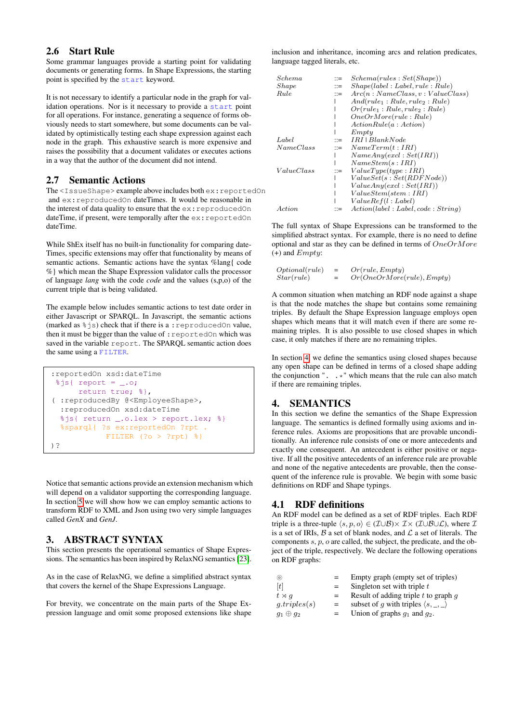#### 2.6 Start Rule

Some grammar languages provide a starting point for validating documents or generating forms. In Shape Expressions, the starting point is specified by the start keyword.

It is not necessary to identify a particular node in the graph for validation operations. Nor is it necessary to provide a start point for all operations. For instance, generating a sequence of forms obviously needs to start somewhere, but some documents can be validated by optimistically testing each shape expression against each node in the graph. This exhaustive search is more expensive and raises the possibility that a document validates or executes actions in a way that the author of the document did not intend.

#### 2.7 Semantic Actions

The <IssueShape> example above includes both ex: reportedOn and ex: reproducedOn dateTimes. It would be reasonable in the interest of data quality to ensure that the  $ex:reproducedOn$ dateTime, if present, were temporally after the ex: reportedOn dateTime.

While ShEx itself has no built-in functionality for comparing date-Times, specific extensions may offer that functionality by means of semantic actions. Semantic actions have the syntax %lang{ code %} which mean the Shape Expression validator calls the processor of language *lang* with the code *code* and the values (s,p,o) of the current triple that is being validated.

The example below includes semantic actions to test date order in either Javascript or SPARQL. In Javascript, the semantic actions (marked as  $\frac{1}{6}$  js) check that if there is a : reproducedOn value, then it must be bigger than the value of : reportedOn which was saved in the variable report. The SPARQL semantic action does the same using a FILTER.

```
:reportedOn xsd:dateTime
 sjs{ report = \ldots;
      return true; %},
( :reproducedBy @<EmployeeShape>,
  :reproducedOn xsd:dateTime
  %js{ return _.o.lex > report.lex; %}
  %sparql{ ?s ex:reportedOn ?rpt .
            FILTER (?o > ?rpt) %}
)?
```
Notice that semantic actions provide an extension mechanism which will depend on a validator supporting the corresponding language. In section [5](#page-4-0) we will show how we can employ semantic actions to transform RDF to XML and Json using two very simple languages called *GenX* and *GenJ*.

# <span id="page-3-0"></span>3. ABSTRACT SYNTAX

This section presents the operational semantics of Shape Expressions. The semantics has been inspired by RelaxNG semantics [\[23\]](#page-8-2).

As in the case of RelaxNG, we define a simplified abstract syntax that covers the kernel of the Shape Expressions Language.

For brevity, we concentrate on the main parts of the Shape Expression language and omit some proposed extensions like shape

inclusion and inheritance, incoming arcs and relation predicates, language tagged literals, etc.

| Schema     | $\mathrel{\mathop:}=$     | Schema(rules : Set(Shape))           |
|------------|---------------------------|--------------------------------------|
| Shape      | $\dddot{=}$               | Shape(label: Label, rule: Rule)      |
| Rule       | $\mathrel{\mathop:}=$     | Arc(n:NameClass, v: ValueClass)      |
|            |                           | $And(rule_1:Rule, rule_2:Rule)$      |
|            |                           | $Or(rule_1: Rule, rule_2: Rule)$     |
|            |                           | OneOrMore (rule : Rule)              |
|            |                           | ActionRule(a: Action)                |
|            |                           | Empty                                |
| Label      | $\mathrel{\mathop:}=$     | $IRI$   $BlankNode$                  |
| NameClass  | $\mathbb{R}^{\mathbb{Z}}$ | NameTerm(t:IRI)                      |
|            |                           | NameAny(excl : Set(IRI))             |
|            |                           | NameStem(s:IRI)                      |
| ValueClass | $\mathrel{\mathop:}=$     | ValueType(tupe : IRI)                |
|            |                           | ValueSet(s : Set(RDFNode))           |
|            |                           | ValueAny(excl: Set(IRI))             |
|            |                           | ValueStem(stem : IRI)                |
|            |                           | ValueRef(l:Label)                    |
| Action     |                           | Action(label : Label, code : String) |

The full syntax of Shape Expressions can be transformed to the simplified abstract syntax. For example, there is no need to define optional and star as they can be defined in terms of OneOrMore  $(+)$  and  $Emptu$ :

| Optional (rule) | $=$ | Or(rule, Empty)           |
|-----------------|-----|---------------------------|
| Star (rule)     | $=$ | Or(OneOrMore(rule),Empty) |

A common situation when matching an RDF node against a shape is that the node matches the shape but contains some remaining triples. By default the Shape Expression language employs open shapes which means that it will match even if there are some remaining triples. It is also possible to use closed shapes in which case, it only matches if there are no remaining triples.

In section [4,](#page-3-1) we define the semantics using closed shapes because any open shape can be defined in terms of a closed shape adding the conjunction " $\ldots$  \*" which means that the rule can also match if there are remaining triples.

# <span id="page-3-1"></span>4. SEMANTICS

In this section we define the semantics of the Shape Expression language. The semantics is defined formally using axioms and inference rules. Axioms are propositions that are provable unconditionally. An inference rule consists of one or more antecedents and exactly one consequent. An antecedent is either positive or negative. If all the positive antecedents of an inference rule are provable and none of the negative antecedents are provable, then the consequent of the inference rule is provable. We begin with some basic definitions on RDF and Shape typings.

# 4.1 RDF definitions

An RDF model can be defined as a set of RDF triples. Each RDF triple is a three-tuple  $\langle s, p, o \rangle \in (\mathcal{I} \cup \mathcal{B}) \times \mathcal{I} \times (\mathcal{I} \cup \mathcal{B} \cup \mathcal{L})$ , where  $\mathcal{I}$ is a set of IRIs,  $\mathcal B$  a set of blank nodes, and  $\mathcal L$  a set of literals. The components s, p, o are called, the subject, the predicate, and the object of the triple, respectively. We declare the following operations on RDF graphs:

| $\circledcirc$   | $=$ | Empty graph (empty set of triples)                   |
|------------------|-----|------------------------------------------------------|
| [t]              | $=$ | Singleton set with triple t                          |
| $t \rtimes q$    | $=$ | Result of adding triple $t$ to graph $q$             |
| g. triples(s)    | $=$ | subset of g with triples $\langle s, \_, \_ \rangle$ |
| $g_1 \oplus g_2$ |     | Union of graphs $q_1$ and $q_2$ .                    |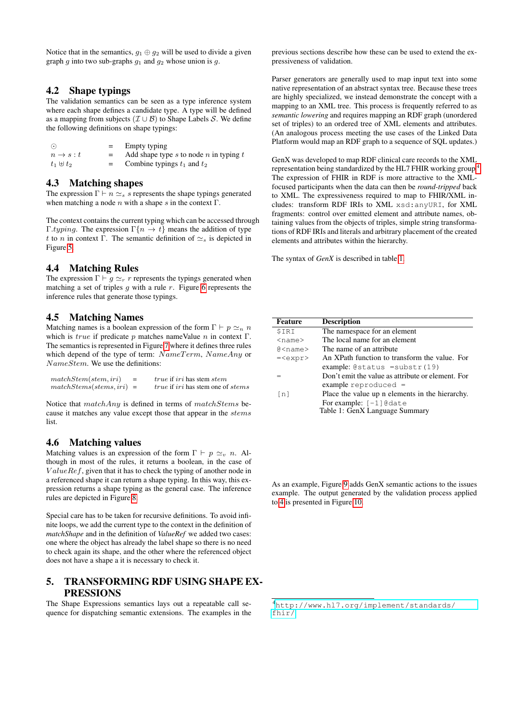Notice that in the semantics,  $g_1 \oplus g_2$  will be used to divide a given graph g into two sub-graphs  $g_1$  and  $g_2$  whose union is g.

#### 4.2 Shape typings

The validation semantics can be seen as a type inference system where each shape defines a candidate type. A type will be defined as a mapping from subjects ( $\mathcal{I} \cup \mathcal{B}$ ) to Shape Labels S. We define the following definitions on shape typings:

| $\odot$               | Empty typing                                 |
|-----------------------|----------------------------------------------|
| $n \rightarrow s : t$ | Add shape type $s$ to node $n$ in typing $t$ |
| $t_1 \oplus t_2$      | Combine typings $t_1$ and $t_2$              |

#### 4.3 Matching shapes

The expression  $\Gamma \vdash n \simeq_s \overline{s}$  represents the shape typings generated when matching a node  $n$  with a shape s in the context  $\Gamma$ .

The context contains the current typing which can be accessed through Γ.typing. The expression  $\Gamma\{n \to t\}$  means the addition of type t to n in context Γ. The semantic definition of  $\approx$  is depicted in Figure [5.](#page-5-0)

#### 4.4 Matching Rules

The expression  $\Gamma \vdash q \simeq_r r$  represents the typings generated when matching a set of triples  $q$  with a rule  $r$ . Figure [6](#page-5-1) represents the inference rules that generate those typings.

#### 4.5 Matching Names

Matching names is a boolean expression of the form  $\Gamma \vdash p \simeq_n n$ which is *true* if predicate p matches nameValue n in context  $\Gamma$ . The semantics is represented in Figure [7](#page-6-0) where it defines three rules which depend of the type of term:  $NameTerm$ ,  $NameAny$  or NameStem. We use the definitions:

| matchStem(stem,iri)       | $=$ | <i>true</i> if <i>iri</i> has stem <i>stem</i>         |
|---------------------------|-----|--------------------------------------------------------|
| $matchStems(stems,iri) =$ |     | <i>true</i> if <i>iri</i> has stem one of <i>stems</i> |

Notice that matchAny is defined in terms of matchStems because it matches any value except those that appear in the stems list.

#### 4.6 Matching values

Matching values is an expression of the form  $\Gamma \vdash p \simeq_v n$ . Although in most of the rules, it returns a boolean, in the case of  $ValueRef$ , given that it has to check the typing of another node in a referenced shape it can return a shape typing. In this way, this expression returns a shape typing as the general case. The inference rules are depicted in Figure [8.](#page-6-1)

Special care has to be taken for recursive definitions. To avoid infinite loops, we add the current type to the context in the definition of *matchShape* and in the definition of *ValueRef* we added two cases: one where the object has already the label shape so there is no need to check again its shape, and the other where the referenced object does not have a shape a it is necessary to check it.

#### <span id="page-4-0"></span>5. TRANSFORMING RDF USING SHAPE EX-PRESSIONS

The Shape Expressions semantics lays out a repeatable call sequence for dispatching semantic extensions. The examples in the

previous sections describe how these can be used to extend the expressiveness of validation.

Parser generators are generally used to map input text into some native representation of an abstract syntax tree. Because these trees are highly specialized, we instead demonstrate the concept with a mapping to an XML tree. This process is frequently referred to as *semantic lowering* and requires mapping an RDF graph (unordered set of triples) to an ordered tree of XML elements and attributes. (An analogous process meeting the use cases of the Linked Data Platform would map an RDF graph to a sequence of SQL updates.)

GenX was developed to map RDF clinical care records to the XML representation being standardized by the HL7 FHIR working group [4](#page-4-1) . The expression of FHIR in RDF is more attractive to the XMLfocused participants when the data can then be *round-tripped* back to XML. The expressiveness required to map to FHIR/XML includes: transform RDF IRIs to XML xsd:anyURI, for XML fragments: control over emitted element and attribute names, obtaining values from the objects of triples, simple string transformations of RDF IRIs and literals and arbitrary placement of the created elements and attributes within the hierarchy.

The syntax of *GenX* is described in table [1.](#page-4-2)

<span id="page-4-2"></span>

| <b>Feature</b>         | <b>Description</b>                                |
|------------------------|---------------------------------------------------|
| \$IRI                  | The namespace for an element                      |
| $<$ name $>$           | The local name for an element                     |
| $\alpha$ <name></name> | The name of an attribute                          |
| $=$                    | An XPath function to transform the value. For     |
|                        | example: $@status = substr(19)$                   |
|                        | Don't emit the value as attribute or element. For |
|                        | example reproduced $=$                            |
| $\lceil n \rceil$      | Place the value up n elements in the hierarchy.   |
|                        | For example: $[-1]$ @date                         |
|                        | Table 1: GenX Language Summary                    |

As an example, Figure [9](#page-5-2) adds GenX semantic actions to the issues example. The output generated by the validation process applied to [4](#page-1-3) is presented in Figure [10.](#page-5-3)

<span id="page-4-1"></span><sup>4</sup>[http://www.hl7.org/implement/standards/](http://www.hl7.org/implement/standards/fhir/) [fhir/](http://www.hl7.org/implement/standards/fhir/)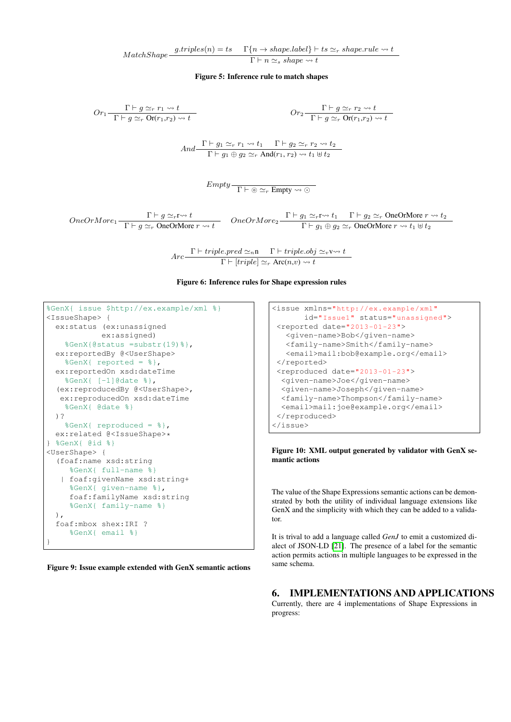$MatchShape \xrightarrow{\text{g.triples}(n) = ts} \Gamma\{n \rightarrow shape.label\} \rightarrow ts \simeq_r shape.rule \rightsquigarrow t$  $\overline{\Gamma \vdash n \simeq_s shape \leadsto t}$ 

<span id="page-5-0"></span>Figure 5: Inference rule to match shapes

$$
Or_{1} \frac{\Gamma \vdash g \simeq_{r} r_{1} \rightsquigarrow t}{\Gamma \vdash g \simeq_{r} \text{Or}(r_{1},r_{2}) \rightsquigarrow t}
$$
\n
$$
Or_{2} \frac{\Gamma \vdash g \simeq_{r} r_{2} \rightsquigarrow t}{\Gamma \vdash g \simeq_{r} \text{Or}(r_{1},r_{2}) \rightsquigarrow t}
$$
\n
$$
And \frac{\Gamma \vdash g_{1} \simeq_{r} r_{1} \rightsquigarrow t_{1} \quad \Gamma \vdash g_{2} \simeq_{r} r_{2} \rightsquigarrow t_{2}}{\Gamma \vdash g_{1} \oplus g_{2} \simeq_{r} \text{And}(r_{1},r_{2}) \rightsquigarrow t_{1} \oplus t_{2}}
$$
\n
$$
Empty \frac{\Gamma \vdash \circ \simeq_{r} \text{Empty} \rightsquigarrow \circ}{\Gamma \vdash \circ \simeq_{r} \text{Empty} \rightsquigarrow \circ}
$$

 $OneOrMore_1 \frac{\Gamma \vdash g \simeq_r r \rightsquigarrow t}{\Gamma \vdash r \rightarrow r \rightarrow Q \rightrightarrows Q \rightrightarrows Q \rightrightarrows r}$  $\frac{\Gamma \vdash g \simeq_r r \leadsto t}{\Gamma \vdash g \simeq_r \text{OneOrMore } r \leadsto t}$   $\qquad \text{OneOrMore}_2 \frac{\Gamma \vdash g_1 \simeq_r r \leadsto t_1 \quad \Gamma \vdash g_2 \simeq_r \text{OneOrMore } r \leadsto t_2}{\Gamma \vdash g_1 \oplus g_2 \simeq_r \text{OneOrMore } r \leadsto t_1 \uplus t_2}$  $\Gamma \vdash g_1 \oplus g_2 \simeq_r \text{OneOrMore } r \leadsto t_1 \uplus t_2$ 

$$
Arc\frac{\Gamma \vdash triple.pred \simeq_n \mathbf{n} \qquad \Gamma \vdash triple. obj \simeq_v \mathbf{V} \rightsquigarrow t}{\Gamma \vdash [triple] \simeq_r \text{ Arc}(n,v) \rightsquigarrow t}
$$

<span id="page-5-1"></span>Figure 6: Inference rules for Shape expression rules

```
%GenX{ issue $http://ex.example/xml %}
<IssueShape> {
 ex:status (ex:unassigned
           ex:assigned)
   %GenX{@status =substr(19)%},
 ex:reportedBy @<UserShape>
   %GenX{ reported = %},
 ex:reportedOn xsd:dateTime
    %GenX{ [-1]@date %},
  (ex:reproducedBy @<UserShape>,
  ex:reproducedOn xsd:dateTime
    %GenX{ @date %}
 )?
    %GenX{ reproduced = %},
 ex:related @<IssueShape>*
} %GenX{ @id %}
<UserShape> {
  (foaf:name xsd:string
    %GenX{ full-name %}
   | foaf:givenName xsd:string+
    %GenX{ given-name %},
    foaf:familyName xsd:string
    %GenX{ family-name %}
 ),
  foaf:mbox shex:IRI ?
     %GenX{ email %}
}
```
<span id="page-5-2"></span>Figure 9: Issue example extended with GenX semantic actions

```
<issue xmlns="http://ex.example/xml"
      id="Issue1" status="unassigned">
<reported date="2013-01-23">
  <given-name>Bob</given-name>
  <family-name>Smith</family-name>
  <email>mail:bob@example.org</email>
</reported>
<reproduced date="2013-01-23">
 <given-name>Joe</given-name>
 <given-name>Joseph</given-name>
 <family-name>Thompson</family-name>
 <email>mail:joe@example.org</email>
</reproduced>
</issue>
```
<span id="page-5-3"></span>Figure 10: XML output generated by validator with GenX semantic actions

The value of the Shape Expressions semantic actions can be demonstrated by both the utility of individual language extensions like GenX and the simplicity with which they can be added to a validator.

It is trival to add a language called *GenJ* to emit a customized dialect of JSON-LD [\[21\]](#page-8-3). The presence of a label for the semantic action permits actions in multiple languages to be expressed in the same schema.

#### 6. IMPLEMENTATIONS AND APPLICATIONS

Currently, there are 4 implementations of Shape Expressions in progress: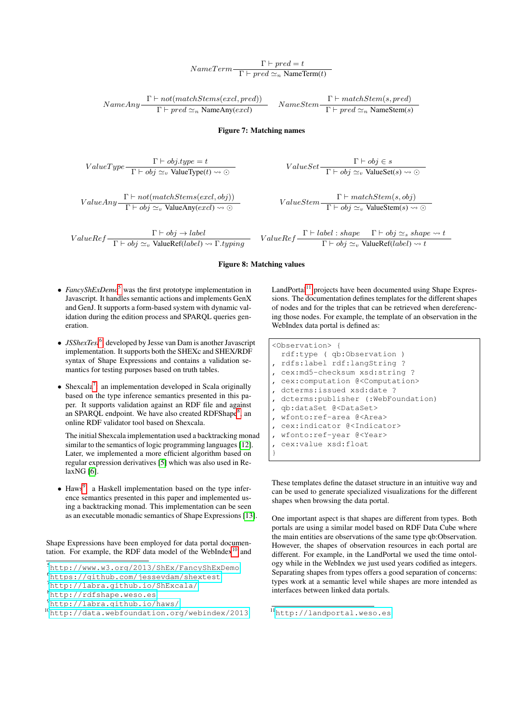# $NameTerm \frac{\Gamma \vdash pred = t}{\Gamma \vdash pred \simeq_n \text{NameTerm}(t)}$

$$
NameAny \frac{\Gamma \vdash not(matchStems(excl, pred))}{\Gamma \vdash pred \simeq_n NameAny(excl)} \quad NameStem \frac{\Gamma \vdash matchStem(s, pred)}{\Gamma \vdash pred \simeq_n NameStem(s)}
$$

#### <span id="page-6-0"></span>Figure 7: Matching names

$$
ValueType \frac{\Gamma \vdash obj.\textit{type} = t}{\Gamma \vdash obj} \simeq_v \text{ValueType}(t) \rightsquigarrow \odot
$$

$$
ValueAny \frac{\Gamma \vdash not(matchStems(excl, obj))}{\Gamma \vdash obj \simeq_v ValueAny(excl) \rightsquigarrow \odot}
$$

 $ValueRef - \frac{\Gamma \vdash obj \rightarrow label}{\Gamma \vdash obj \simeq_v \text{ValueRef}(label) \rightarrow \Gamma.typing}$ 

 $ValueSet - \frac{\Gamma \vdash obj \in s}{\Gamma \vdash obj \simeq_v \text{ValueSet}(s) \rightsquigarrow \odot}$ 

 $ValueStem - \frac{\Gamma \vdash matchStem(s, obj)}{\Gamma \vdash \ldots \vdash UN \vdash S}$  $\Gamma \vdash obj \simeq_v \text{ValueStem}(s) \rightsquigarrow \odot$ 

<span id="page-6-1"></span>
$$
ValueRef - \frac{\Gamma \vdash label : shape \quad \Gamma \vdash obj \simeq_s shape \leadsto t}{\Gamma \vdash obj \simeq_v ValueRef(label) \leadsto t}
$$

#### Figure 8: Matching values

- *FancyShExDemo*[5](#page-6-2) was the first prototype implementation in Javascript. It handles semantic actions and implements GenX and GenJ. It supports a form-based system with dynamic validation during the edition process and SPARQL queries generation.
- *JSShexTest*<sup>[6](#page-6-3)</sup>, developed by Jesse van Dam is another Javascript implementation. It supports both the SHEXc and SHEX/RDF syntax of Shape Expressions and contains a validation semantics for testing purposes based on truth tables.
- $\bullet$  Shexcala<sup>[7](#page-6-4)</sup>: an implementation developed in Scala originally based on the type inference semantics presented in this paper. It supports validation against an RDF file and against an SPARQL endpoint. We have also created RDFShape<sup>[8](#page-6-5)</sup>, an online RDF validator tool based on Shexcala.

The initial Shexcala implementation used a backtracking monad similar to the semantics of logic programming languages [\[12\]](#page-8-4). Later, we implemented a more efficient algorithm based on regular expression derivatives [\[5\]](#page-8-5) which was also used in RelaxNG [\[6\]](#page-8-6).

• Haws<sup>[9](#page-6-6)</sup>: a Haskell implementation based on the type inference semantics presented in this paper and implemented using a backtracking monad. This implementation can be seen as an executable monadic semantics of Shape Expressions [\[13\]](#page-8-7).

Shape Expressions have been employed for data portal documen-tation. For example, the RDF data model of the WebIndex<sup>[10](#page-6-7)</sup> and

```
6https://github.com/jessevdam/shextest
```

```
7http://labra.github.io/ShExcala/
```
<span id="page-6-5"></span><sup>8</sup><http://rdfshape.weso.es>

<span id="page-6-6"></span><sup>9</sup><http://labra.github.io/haws/>

 $LandPortal<sup>11</sup>$  $LandPortal<sup>11</sup>$  $LandPortal<sup>11</sup>$  projects have been documented using Shape Expressions. The documentation defines templates for the different shapes of nodes and for the triples that can be retrieved when dereferencing those nodes. For example, the template of an observation in the WebIndex data portal is defined as:

```
<Observation> {
 rdf:type ( qb:Observation )
 , rdfs:label rdf:langString ?
 , cex:md5-checksum xsd:string ?
 , cex:computation @<Computation>
 , dcterms:issued xsd:date ?
 , dcterms:publisher (:WebFoundation)
 , qb:dataSet @<DataSet>
 , wfonto:ref-area @<Area>
 , cex:indicator @<Indicator>
 , wfonto:ref-year @<Year>
 , cex:value xsd:float
}
```
These templates define the dataset structure in an intuitive way and can be used to generate specialized visualizations for the different shapes when browsing the data portal.

One important aspect is that shapes are different from types. Both portals are using a similar model based on RDF Data Cube where the main entities are observations of the same type qb:Observation. However, the shapes of observation resources in each portal are different. For example, in the LandPortal we used the time ontology while in the WebIndex we just used years codified as integers. Separating shapes from types offers a good separation of concerns: types work at a semantic level while shapes are more intended as interfaces between linked data portals.

<span id="page-6-2"></span><sup>5</sup><http://www.w3.org/2013/ShEx/FancyShExDemo>

<span id="page-6-7"></span><sup>10</sup><http://data.webfoundation.org/webindex/2013>

<span id="page-6-8"></span><sup>11</sup><http://landportal.weso.es>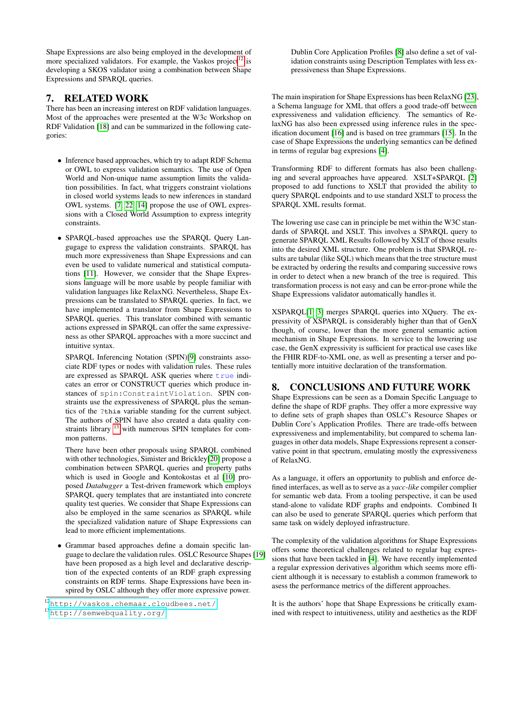Shape Expressions are also being employed in the development of more specialized validators. For example, the Vaskos project<sup>[12](#page-7-0)</sup> is developing a SKOS validator using a combination between Shape Expressions and SPARQL queries.

# 7. RELATED WORK

There has been an increasing interest on RDF validation languages. Most of the approaches were presented at the W3c Workshop on RDF Validation [\[18\]](#page-8-8) and can be summarized in the following categories:

- Inference based approaches, which try to adapt RDF Schema or OWL to express validation semantics. The use of Open World and Non-unique name assumption limits the validation possibilities. In fact, what triggers constraint violations in closed world systems leads to new inferences in standard OWL systems. [\[7,](#page-8-9) [22,](#page-8-1) [14\]](#page-8-10) propose the use of OWL expressions with a Closed World Assumption to express integrity constraints.
- SPARQL-based approaches use the SPARQL Query Langugage to express the validation constraints. SPARQL has much more expressiveness than Shape Expressions and can even be used to validate numerical and statistical computations [\[11\]](#page-8-11). However, we consider that the Shape Expressions language will be more usable by people familiar with validation languages like RelaxNG. Nevertheless, Shape Expressions can be translated to SPARQL queries. In fact, we have implemented a translator from Shape Expressions to SPARQL queries. This translator combined with semantic actions expressed in SPARQL can offer the same expressiveness as other SPARQL approaches with a more succinct and intuitive syntax.

SPARQL Inferencing Notation (SPIN)[\[9\]](#page-8-12) constraints associate RDF types or nodes with validation rules. These rules are expressed as SPARQL ASK queries where  $true$  indicates an error or CONSTRUCT queries which produce instances of spin:ConstraintViolation. SPIN constraints use the expressiveness of SPARQL plus the semantics of the ?**this** variable standing for the current subject. The authors of SPIN have also created a data quality constraints library [13](#page-7-1) with numerous SPIN templates for common patterns.

There have been other proposals using SPARQL combined with other technologies, Simister and Brickley[\[20\]](#page-8-13) propose a combination between SPARQL queries and property paths which is used in Google and Kontokostas et al [\[10\]](#page-8-14) proposed *Databugger* a Test-driven framework which employs SPARQL query templates that are instantiated into concrete quality test queries. We consider that Shape Expressions can also be employed in the same scenarios as SPARQL while the specialized validation nature of Shape Expressions can lead to more efficient implementations.

• Grammar based approaches define a domain specific language to declare the validation rules. OSLC Resource Shapes [\[19\]](#page-8-15) have been proposed as a high level and declarative description of the expected contents of an RDF graph expressing constraints on RDF terms. Shape Expressions have been inspired by OSLC although they offer more expressive power.

Dublin Core Application Profiles [\[8\]](#page-8-16) also define a set of validation constraints using Description Templates with less expressiveness than Shape Expressions.

The main inspiration for Shape Expressions has been RelaxNG [\[23\]](#page-8-2), a Schema language for XML that offers a good trade-off between expressiveness and validation efficiency. The semantics of RelaxNG has also been expressed using inference rules in the specification document [\[16\]](#page-8-17) and is based on tree grammars [\[15\]](#page-8-18). In the case of Shape Expressions the underlying semantics can be defined in terms of regular bag expresions [\[4\]](#page-8-19).

Transforming RDF to different formats has also been challenging and several approaches have appeared. XSLT+SPARQL [\[2\]](#page-8-20) proposed to add functions to XSLT that provided the ability to query SPARQL endpoints and to use standard XSLT to process the SPARQL XML results format.

The lowering use case can in principle be met within the W3C standards of SPARQL and XSLT. This involves a SPARQL query to generate SPARQL XML Results followed by XSLT of those results into the desired XML structure. One problem is that SPARQL results are tabular (like SQL) which means that the tree structure must be extracted by ordering the results and comparing successive rows in order to detect when a new branch of the tree is required. This transformation process is not easy and can be error-prone while the Shape Expressions validator automatically handles it.

XSPARQL[\[1,](#page-8-21) [3\]](#page-8-22) merges SPARQL queries into XQuery. The expressivity of XSPARQL is considerably higher than that of GenX though, of course, lower than the more general semantic action mechanism in Shape Expressions. In service to the lowering use case, the GenX expressivity is sufficient for practical use cases like the FHIR RDF-to-XML one, as well as presenting a terser and potentially more intuitive declaration of the transformation.

#### 8. CONCLUSIONS AND FUTURE WORK

Shape Expressions can be seen as a Domain Specific Language to define the shape of RDF graphs. They offer a more expressive way to define sets of graph shapes than OSLC's Resource Shapes or Dublin Core's Application Profiles. There are trade-offs between expressiveness and implementability, but compared to schema languages in other data models, Shape Expressions represent a conservative point in that spectrum, emulating mostly the expressiveness of RelaxNG.

As a language, it offers an opportunity to publish and enforce defined interfaces, as well as to serve as a *yacc-like* compiler complier for semantic web data. From a tooling perspective, it can be used stand-alone to validate RDF graphs and endpoints. Combined It can also be used to generate SPARQL queries which perform that same task on widely deployed infrastructure.

The complexity of the validation algorithms for Shape Expressions offers some theoretical challenges related to regular bag expressions that have been tackled in [\[4\]](#page-8-19). We have recently implemented a regular expression derivatives algorithm which seems more efficient although it is necessary to establish a common framework to asess the performance metrics of the different approaches.

It is the authors' hope that Shape Expressions be critically examined with respect to intuitiveness, utility and aesthetics as the RDF

<span id="page-7-0"></span><sup>12</sup><http://vaskos.chemaar.cloudbees.net/>

<span id="page-7-1"></span><sup>13</sup><http://semwebquality.org/>